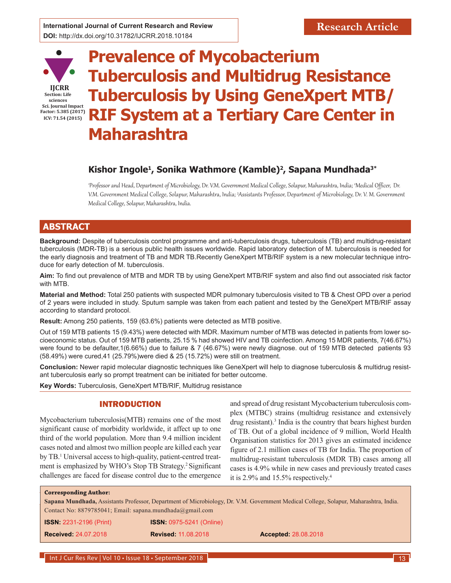

# **Prevalence of Mycobacterium Tuberculosis and Multidrug Resistance Tuberculosis by Using GeneXpert MTB/ RIF System at a Tertiary Care Center in Maharashtra**

# **Kishor Ingole1, Sonika Wathmore (Kamble)2, Sapana Mundhada3\***

1 Professor and Head, Department of Microbiology, Dr. V.M. Government Medical College, Solapur, Maharashtra, India; <sup>2</sup> Medical Officer, Dr. V.M. Government Medical College, Solapur, Maharashtra, India; <sup>3</sup> Assistants Professor, Department of Microbiology, Dr. V. M. Government Medical College, Solapur, Maharashtra, India.

# **ABSTRACT**

**Background:** Despite of tuberculosis control programme and anti-tuberculosis drugs, tuberculosis (TB) and multidrug-resistant tuberculosis (MDR-TB) is a serious public health issues worldwide. Rapid laboratory detection of M. tuberculosis is needed for the early diagnosis and treatment of TB and MDR TB.Recently GeneXpert MTB/RIF system is a new molecular technique introduce for early detection of M. tuberculosis.

**Aim:** To find out prevalence of MTB and MDR TB by using GeneXpert MTB/RIF system and also find out associated risk factor with MTB.

**Material and Method:** Total 250 patients with suspected MDR pulmonary tuberculosis visited to TB & Chest OPD over a period of 2 years were included in study. Sputum sample was taken from each patient and tested by the GeneXpert MTB/RIF assay according to standard protocol.

**Result:** Among 250 patients, 159 (63.6%) patients were detected as MTB positive.

Out of 159 MTB patients 15 (9.43%) were detected with MDR. Maximum number of MTB was detected in patients from lower socioeconomic status. Out of 159 MTB patients, 25.15 % had showed HIV and TB coinfection. Among 15 MDR patients, 7(46.67%) were found to be defaulter,1(6.66%) due to failure & 7 (46.67%) were newly diagnose. out of 159 MTB detected patients 93 (58.49%) were cured,41 (25.79%)were died & 25 (15.72%) were still on treatment.

**Conclusion:** Newer rapid molecular diagnostic techniques like GeneXpert will help to diagnose tuberculosis & multidrug resistant tuberculosis early so prompt treatment can be initiated for better outcome.

**Key Words:** Tuberculosis, GeneXpert MTB/RIF, Multidrug resistance

# INTRODUCTION

Mycobacterium tuberculosis(MTB) remains one of the most significant cause of morbidity worldwide, it affect up to one third of the world population. More than 9.4 million incident cases noted and almost two million people are killed each year by TB.<sup>1</sup> Universal access to high-quality, patient-centred treatment is emphasized by WHO's Stop TB Strategy.<sup>2</sup> Significant challenges are faced for disease control due to the emergence and spread of drug resistant Mycobacterium tuberculosis complex (MTBC) strains (multidrug resistance and extensively drug resistant).<sup>3</sup> India is the country that bears highest burden of TB. Out of a global incidence of 9 million, World Health Organisation statistics for 2013 gives an estimated incidence figure of 2.1 million cases of TB for India. The proportion of multidrug-resistant tuberculosis (MDR TB) cases among all cases is 4.9% while in new cases and previously treated cases it is 2.9% and 15.5% respectively.4

#### **Corresponding Author:**

**Sapana Mundhada,** Assistants Professor, Department of Microbiology, Dr. V.M. Government Medical College, Solapur, Maharashtra, India. Contact No: 8879785041; Email: sapana.mundhada@gmail.com

| <b>ISSN: 2231-2196 (Print)</b> | <b>ISSN: 0975-5241 (Online)</b> |                             |
|--------------------------------|---------------------------------|-----------------------------|
| <b>Received: 24.07.2018</b>    | <b>Revised: 11.08.2018</b>      | <b>Accepted: 28.08.2018</b> |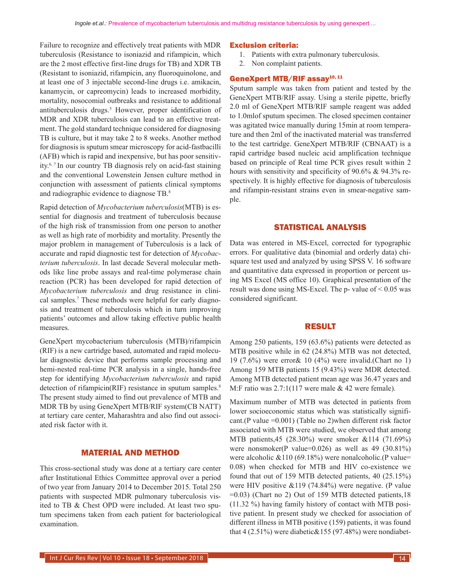Failure to recognize and effectively treat patients with MDR tuberculosis (Resistance to isoniazid and rifampicin, which are the 2 most effective first-line drugs for TB) and XDR TB (Resistant to isoniazid, rifampicin, any fluoroquinolone, and at least one of 3 injectable second-line drugs i.e. amikacin, kanamycin, or capreomycin) leads to increased morbidity, mortality, nosocomial outbreaks and resistance to additional antituberculosis drugs.<sup>5</sup> However, proper identification of MDR and XDR tuberculosis can lead to an effective treatment. The gold standard technique considered for diagnosing TB is culture, but it may take 2 to 8 weeks. Another method for diagnosis is sputum smear microscopy for acid-fastbacilli (AFB) which is rapid and inexpensive, but has poor sensitivity.6, 7 In our country TB diagnosis rely on acid-fast staining and the conventional Lowenstein Jensen culture method in conjunction with assessment of patients clinical symptoms and radiographic evidence to diagnose TB.8

Rapid detection of *Mycobacterium tuberculosis*(MTB) is essential for diagnosis and treatment of tuberculosis because of the high risk of transmission from one person to another as well as high rate of morbidity and mortality. Presently the major problem in management of Tuberculosis is a lack of accurate and rapid diagnostic test for detection of *Mycobacterium tuberculosis*. In last decade Several molecular methods like line probe assays and real-time polymerase chain reaction (PCR) has been developed for rapid detection of *Mycobacterium tuberculosis* and drug resistance in clinical samples.<sup>7</sup> These methods were helpful for early diagnosis and treatment of tuberculosis which in turn improving patients' outcomes and allow taking effective public health measures.

GeneXpert mycobacterium tuberculosis (MTB)/rifampicin (RIF) is a new cartridge based, automated and rapid molecular diagnostic device that performs sample processing and hemi-nested real-time PCR analysis in a single, hands-free step for identifying *Mycobacterium tuberculosis* and rapid detection of rifampicin(RIF) resistance in sputum samples.<sup>8</sup> The present study aimed to find out prevalence of MTB and MDR TB by using GeneXpert MTB/RIF system(CB NATT) at tertiary care center, Maharashtra and also find out associated risk factor with it.

#### MATERIAL AND METHOD

This cross-sectional study was done at a tertiary care center after Institutional Ethics Committee approval over a period of two year from January 2014 to December 2015. Total 250 patients with suspected MDR pulmonary tuberculosis visited to TB & Chest OPD were included. At least two sputum specimens taken from each patient for bacteriological examination.

#### Exclusion criteria:

- 1. Patients with extra pulmonary tuberculosis.
- 2. Non complaint patients.

## GeneXpert MTB/RIF assay<sup>10, 11</sup>

Sputum sample was taken from patient and tested by the GeneXpert MTB/RIF assay. Using a sterile pipette, briefly 2.0 ml of GeneXpert MTB/RIF sample reagent was added to 1.0mlof sputum specimen. The closed specimen container was agitated twice manually during 15min at room temperature and then 2ml of the inactivated material was transferred to the test cartridge. GeneXpert MTB/RIF (CBNAAT) is a rapid cartridge based nucleic acid amplification technique based on principle of Real time PCR gives result within 2 hours with sensitivity and specificity of 90.6% & 94.3% respectively. It is highly effective for diagnosis of tuberculosis and rifampin-resistant strains even in smear-negative sample.

#### STATISTICAL ANALYSIS

Data was entered in MS-Excel, corrected for typographic errors. For qualitative data (binomial and orderly data) chisquare test used and analyzed by using SPSS V. 16 software and quantitative data expressed in proportion or percent using MS Excel (MS office 10). Graphical presentation of the result was done using MS-Excel. The p- value of  $\leq 0.05$  was considered significant.

#### RESULT

Among 250 patients, 159 (63.6%) patients were detected as MTB positive while in 62 (24.8%) MTB was not detected, 19 (7.6%) were error& 10 (4%) were invalid.(Chart no 1) Among 159 MTB patients 15 (9.43%) were MDR detected. Among MTB detected patient mean age was 36.47 years and M:F ratio was 2.7:1(117 were male & 42 were female).

Maximum number of MTB was detected in patients from lower socioeconomic status which was statistically significant.(P value =0.001) (Table no 2)when different risk factor associated with MTB were studied, we observed that among MTB patients,45 (28.30%) were smoker &114 (71.69%) were nonsmoker(P value=0.026) as well as 49 (30.81%) were alcoholic &110 (69.18%) were nonalcoholic.(P value= 0.08) when checked for MTB and HIV co-existence we found that out of 159 MTB detected patients, 40 (25.15%) were HIV positive &119 (74.84%) were negative. (P value =0.03) (Chart no 2) Out of 159 MTB detected patients,18 (11.32 %) having family history of contact with MTB positive patient. In present study we checked for association of different illness in MTB positive (159) patients, it was found that 4  $(2.51\%)$  were diabetic & 155  $(97.48\%)$  were nondiabet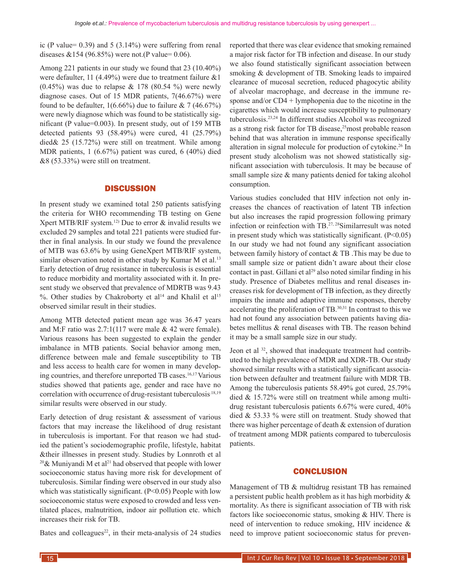ic (P value=  $0.39$ ) and  $5$  ( $3.14\%$ ) were suffering from renal diseases  $&154 (96.85%)$  were not.(P value= 0.06).

Among 221 patients in our study we found that 23 (10.40%) were defaulter, 11 (4.49%) were due to treatment failure &1  $(0.45\%)$  was due to relapse & 178 (80.54 %) were newly diagnose cases. Out of 15 MDR patients, 7(46.67%) were found to be defaulter,  $1(6.66\%)$  due to failure & 7 (46.67%) were newly diagnose which was found to be statistically significant (P value=0.003). In present study, out of 159 MTB detected patients 93 (58.49%) were cured, 41 (25.79%) died& 25 (15.72%) were still on treatment. While among MDR patients, 1 (6.67%) patient was cured, 6 (40%) died &8 (53.33%) were still on treatment.

#### **DISCUSSION**

In present study we examined total 250 patients satisfying the criteria for WHO recommending TB testing on Gene Xpert MTB/RIF system.<sup>12)</sup> Due to error  $\&$  invalid results we excluded 29 samples and total 221 patients were studied further in final analysis. In our study we found the prevalence of MTB was 63.6% by using GeneXpert MTB/RIF system, similar observation noted in other study by Kumar M et al.<sup>13</sup> Early detection of drug resistance in tuberculosis is essential to reduce morbidity and mortality associated with it. In present study we observed that prevalence of MDRTB was 9.43 %. Other studies by Chakroborty et al<sup>14</sup> and Khalil et al<sup>15</sup> observed similar result in their studies.

Among MTB detected patient mean age was 36.47 years and M:F ratio was 2.7:1(117 were male & 42 were female). Various reasons has been suggested to explain the gender imbalance in MTB patients. Social behavior among men, difference between male and female susceptibility to TB and less access to health care for women in many developing countries, and therefore unreported TB cases.<sup>16,17</sup> Various studies showed that patients age, gender and race have no correlation with occurrence of drug-resistant tuberculosis.18,19 similar results were observed in our study.

Early detection of drug resistant & assessment of various factors that may increase the likelihood of drug resistant in tuberculosis is important. For that reason we had studied the patient's sociodemographic profile, lifestyle, habitat &their illnesses in present study. Studies by Lonnroth et al <sup>20</sup>& Muniyandi M et al<sup>21</sup> had observed that people with lower socioeconomic status having more risk for development of tuberculosis. Similar finding were observed in our study also which was statistically significant.  $(P<0.05)$  People with low socioeconomic status were exposed to crowded and less ventilated places, malnutrition, indoor air pollution etc. which increases their risk for TB.

Bates and colleagues<sup>22</sup>, in their meta-analysis of 24 studies

reported that there was clear evidence that smoking remained a major risk factor for TB infection and disease. In our study we also found statistically significant association between smoking & development of TB. Smoking leads to impaired clearance of mucosal secretion, reduced phagocytic ability of alveolar macrophage, and decrease in the immune response and/or  $CD4 + 1$ ymphopenia due to the nicotine in the cigarettes which would increase susceptibility to pulmonary tuberculosis.23,24 In different studies Alcohol was recognized as a strong risk factor for TB disease,<sup>25</sup>most probable reason behind that was alteration in immune response specifically alteration in signal molecule for production of cytokine.<sup>26</sup> In present study alcoholism was not showed statistically significant association with tuberculosis. It may be because of small sample size & many patients denied for taking alcohol consumption.

Various studies concluded that HIV infection not only increases the chances of reactivation of latent TB infection but also increases the rapid progression following primary infection or reinfection with TB.27, 28Similarresult was noted in present study which was statistically significant.  $(P<0.05)$ In our study we had not found any significant association between family history of contact & TB .This may be due to small sample size or patient didn't aware about their close contact in past. Gillani et al<sup>29</sup> also noted similar finding in his study. Presence of Diabetes mellitus and renal diseases increases risk for development of TB infection, as they directly impairs the innate and adaptive immune responses, thereby accelerating the proliferation of TB.30,31 In contrast to this we had not found any association between patients having diabetes mellitus & renal diseases with TB. The reason behind it may be a small sample size in our study.

Jeon et al <sup>32</sup>, showed that inadequate treatment had contributed to the high prevalence of MDR and XDR-TB. Our study showed similar results with a statistically significant association between defaulter and treatment failure with MDR TB. Among the tuberculosis patients 58.49% got cured, 25.79% died & 15.72% were still on treatment while among multidrug resistant tuberculosis patients 6.67% were cured, 40% died & 53.33 % were still on treatment. Study showed that there was higher percentage of death & extension of duration of treatment among MDR patients compared to tuberculosis patients.

### **CONCLUSION**

Management of TB & multidrug resistant TB has remained a persistent public health problem as it has high morbidity & mortality. As there is significant association of TB with risk factors like socioeconomic status, smoking & HIV. There is need of intervention to reduce smoking, HIV incidence & need to improve patient socioeconomic status for preven-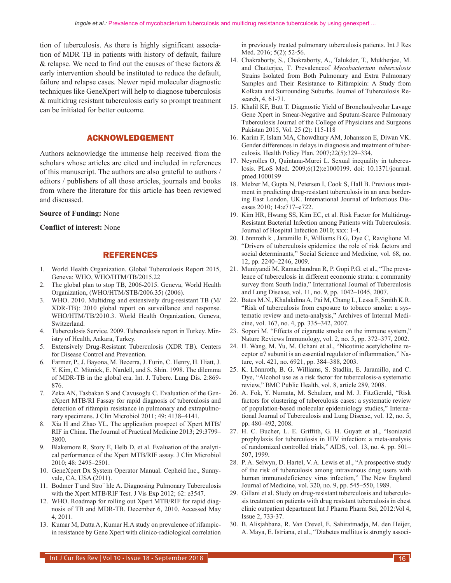tion of tuberculosis. As there is highly significant association of MDR TB in patients with history of default, failure & relapse. We need to find out the causes of these factors & early intervention should be instituted to reduce the default, failure and relapse cases. Newer rapid molecular diagnostic techniques like GeneXpert will help to diagnose tuberculosis & multidrug resistant tuberculosis early so prompt treatment can be initiated for better outcome.

## ACKNOWLEDGEMENT

Authors acknowledge the immense help received from the scholars whose articles are cited and included in references of this manuscript. The authors are also grateful to authors / editors / publishers of all those articles, journals and books from where the literature for this article has been reviewed and discussed.

#### **Source of Funding:** None

#### **Conflict of interest:** None

#### REFERENCES

- 1. World Health Organization. Global Tuberculosis Report 2015, Geneva: WHO, WHO/HTM/TB/2015.22
- 2. The global plan to stop TB, 2006-2015. Geneva, World Health Organization, (WHO/HTM/STB/2006.35) (2006).
- 3. WHO. 2010. Multidrug and extensively drug-resistant TB (M/ XDR-TB): 2010 global report on surveillance and response. WHO/HTM/TB/2010.3. World Health Organization, Geneva, Switzerland.
- 4. Tuberculosis Service. 2009. Tuberculosis report in Turkey. Ministry of Health, Ankara, Turkey.
- 5. Extensively Drug-Resistant Tuberculosis (XDR TB). Centers for Disease Control and Prevention.
- 6. Farmer, P., J. Bayona, M. Becerra, J. Furin, C. Henry, H. Hiatt, J. Y. Kim, C. Mitnick, E. Nardell, and S. Shin. 1998. The dilemma of MDR-TB in the global era. Int. J. Tuberc. Lung Dis. 2:869- 876.
- 7. Zeka AN, Tasbakan S and Cavusoglu C. Evaluation of the GeneXpert MTB/RI Fassay for rapid diagnosis of tuberculosis and detection of rifampin resistance in pulmonary and extrapulmonary specimens. J Clin Microbiol 2011; 49: 4138–4141.
- 8. Xia H and Zhao YL. The application prospect of Xpert MTB/ RIF in China. The Journal of Practical Medicine 2013; 29:3799– 3800.
- 9. Blakemore R, Story E, Helb D, et al. Evaluation of the analytical performance of the Xpert MTB/RIF assay. J Clin Microbiol 2010; 48: 2495–2501.
- 10. GeneXpert Dx System Operator Manual. Cepheid Inc., Sunnyvale, CA, USA (2011).
- 11. Bodmer T and Stro¨ hle A. Diagnosing Pulmonary Tuberculosis with the Xpert MTB/RIF Test. J Vis Exp 2012; 62: e3547.
- 12. WHO. Roadmap for rolling out Xpert MTB/RIF for rapid diagnosis of TB and MDR-TB. December 6, 2010. Accessed May 4, 2011.
- 13. Kumar M, Datta A, Kumar H.A study on prevalence of rifampicin resistance by Gene Xpert with clinico-radiological correlation

in previously treated pulmonary tuberculosis patients. Int J Res Med. 2016; 5(2); 52-56.

- 14. Chakraborty, S., Chakraborty, A., Talukder, T., Mukherjee, M. and Chatterjee, T. Prevalenceof *Mycobacterium tuberculosis*  Strains Isolated from Both Pulmonary and Extra Pulmonary Samples and Their Resistance to Rifampicin: A Study from Kolkata and Surrounding Suburbs. Journal of Tuberculosis Research, 4, 61-71.
- 15. Khalil KF, Butt T. Diagnostic Yield of Bronchoalveolar Lavage Gene Xpert in Smear-Negative and Sputum-Scarce Pulmonary Tuberculosis Journal of the College of Physicians and Surgeons Pakistan 2015, Vol. 25 (2): 115-118
- 16. Karim F, Islam MA, Chowdhury AM, Johansson E, Diwan VK. Gender differences in delays in diagnosis and treatment of tuberculosis. Health Policy Plan. 2007;22(5):329–334.
- 17. Neyrolles O, Quintana-Murci L. Sexual inequality in tuberculosis. PLoS Med. 2009;6(12):e1000199. doi: 10.1371/journal. pmed.1000199
- 18. Melzer M, Gupta N, Petersen I, Cook S, Hall B. Previous treatment in predicting drug-resistant tuberculosis in an area bordering East London, UK. International Journal of Infectious Diseases 2010; 14:e717–e722.
- 19. Kim HR, Hwang SS, Kim EC, et al. Risk Factor for Multidrug-Resistant Bacterial Infection among Patients with Tuberculosis. Journal of Hospital Infection 2010; xxx: 1-4.
- 20. Lönnroth k , Jaramillo E, Williams B.G, Dye C, Raviglione M. "Drivers of tuberculosis epidemics: the role of risk factors and social determinants," Social Science and Medicine, vol. 68, no. 12, pp. 2240–2246, 2009.
- 21. Muniyandi M, Ramachandran R, P. Gopi P.G. et al., "The prevalence of tuberculosis in different economic strata: a community survey from South India," International Journal of Tuberculosis and Lung Disease, vol. 11, no. 9, pp. 1042–1045, 2007.
- 22. Bates M.N., Khalakdina A, Pai M, Chang L, Lessa F, Smith K.R. "Risk of tuberculosis from exposure to tobacco smoke: a systematic review and meta-analysis," Archives of Internal Medicine, vol. 167, no. 4, pp. 335–342, 2007.
- 23. Sopori M. "Effects of cigarette smoke on the immune system," Nature Reviews Immunology, vol. 2, no. 5, pp. 372–377, 2002.
- 24. H. Wang, M. Yu, M. Ochani et al., "Nicotinic acetylcholine receptor  $\alpha$ 7 subunit is an essential regulator of inflammation," Nature, vol. 421, no. 6921, pp. 384–388, 2003.
- 25. K. Lönnroth, B. G. Williams, S. Stadlin, E. Jaramillo, and C. Dye, "Alcohol use as a risk factor for tuberculosis-a systematic review," BMC Public Health, vol. 8, article 289, 2008.
- 26. A. Fok, Y. Numata, M. Schulzer, and M. J. FitzGerald, "Risk factors for clustering of tuberculosis cases: a systematic review of population-based molecular epidemiology studies," International Journal of Tuberculosis and Lung Disease, vol. 12, no. 5, pp. 480–492, 2008.
- 27. H. C. Bucher, L. E. Griffith, G. H. Guyatt et al., "Isoniazid prophylaxis for tuberculosis in HIV infection: a meta-analysis of randomized controlled trials," AIDS, vol. 13, no. 4, pp. 501– 507, 1999.
- 28. P. A. Selwyn, D. Hartel, V. A. Lewis et al., "A prospective study of the risk of tuberculosis among intravenous drug users with human immunodeficiency virus infection," The New England Journal of Medicine, vol. 320, no. 9, pp. 545–550, 1989.
- 29. Gillani et al. Study on drug-resistant tuberculosis and tuberculosis treatment on patients with drug resistant tuberculosis in chest clinic outpatient department Int J Pharm Pharm Sci, 2012:Vol 4, Issue 2, 733-37.
- 30. B. Alisjahbana, R. Van Crevel, E. Sahiratmadja, M. den Heijer, A. Maya, E. Istriana, et al., "Diabetes mellitus is strongly associ-